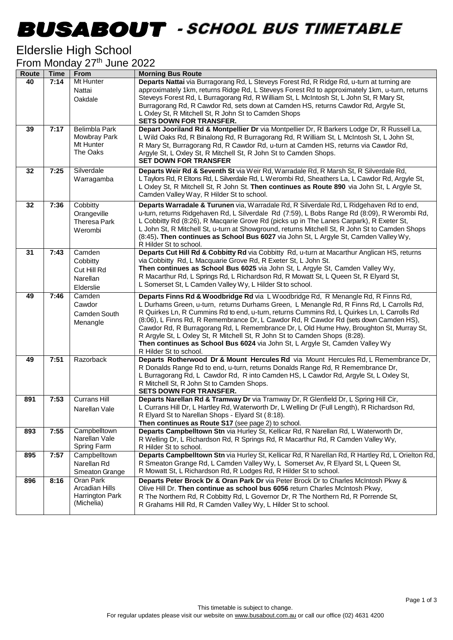### -

#### Elderslie High School

| From Monday 27 <sup>th</sup> June 2022 |  |  |
|----------------------------------------|--|--|
|                                        |  |  |

| Route | <b>Time</b> | From                        | <b>Morning Bus Route</b>                                                                                                                                                                |
|-------|-------------|-----------------------------|-----------------------------------------------------------------------------------------------------------------------------------------------------------------------------------------|
| 40    | 7:14        | Mt Hunter                   | Departs Nattai via Burragorang Rd, L Steveys Forest Rd, R Ridge Rd, u-turn at turning are                                                                                               |
|       |             | Nattai                      | approximately 1km, returns Ridge Rd, L Steveys Forest Rd to approximately 1km, u-turn, returns                                                                                          |
|       |             | Oakdale                     | Steveys Forest Rd, L Burragorang Rd, R William St, L McIntosh St, L John St, R Mary St,                                                                                                 |
|       |             |                             | Burragorang Rd, R Cawdor Rd, sets down at Camden HS, returns Cawdor Rd, Argyle St,<br>L Oxley St, R Mitchell St, R John St to Camden Shops                                              |
|       |             |                             | <b>SETS DOWN FOR TRANSFER.</b>                                                                                                                                                          |
| 39    | 7:17        | <b>Belimbla Park</b>        | Depart Jooriland Rd & Montpellier Dr via Montpellier Dr, R Barkers Lodge Dr, R Russell La,                                                                                              |
|       |             | Mowbray Park                | L Wild Oaks Rd, R Binalong Rd, R Burragorang Rd, R William St, L McIntosh St, L John St,                                                                                                |
|       |             | Mt Hunter                   | R Mary St, Burragorang Rd, R Cawdor Rd, u-turn at Camden HS, returns via Cawdor Rd,                                                                                                     |
|       |             | The Oaks                    | Argyle St, L Oxley St, R Mitchell St, R John St to Camden Shops.                                                                                                                        |
|       |             |                             | <b>SET DOWN FOR TRANSFER</b>                                                                                                                                                            |
| 32    | 7:25        | Silverdale                  | Departs Weir Rd & Seventh St via Weir Rd, Warradale Rd, R Marsh St, R Silverdale Rd,                                                                                                    |
|       |             | Warragamba                  | L Taylors Rd, R Eltons Rd, L Silverdale Rd, L Werombi Rd, Sheathers La, L Cawdor Rd, Argyle St,                                                                                         |
|       |             |                             | L Oxley St, R Mitchell St, R John St. Then continues as Route 890 via John St, L Argyle St,<br>Camden Valley Way, R Hilder St to school.                                                |
|       |             |                             |                                                                                                                                                                                         |
| 32    | 7:36        | Cobbitty                    | Departs Warradale & Turunen via, Warradale Rd, R Silverdale Rd, L Ridgehaven Rd to end,<br>u-turn, returns Ridgehaven Rd, L Silverdale Rd (7:59), L Bobs Range Rd (8:09), R Werombi Rd, |
|       |             | Orangeville<br>Theresa Park | L Cobbitty Rd (8:26), R Macqarie Grove Rd (picks up in The Lanes Carpark), R Exeter St,                                                                                                 |
|       |             | Werombi                     | L John St, R Mitchell St, u-turn at Showground, returns Mitchell St, R John St to Camden Shops                                                                                          |
|       |             |                             | (8:45). Then continues as School Bus 6027 via John St, L Argyle St, Camden Valley Wy,                                                                                                   |
|       |             |                             | R Hilder St to school.                                                                                                                                                                  |
| 31    | 7:43        | Camden                      | Departs Cut Hill Rd & Cobbitty Rd via Cobbitty Rd, u-turn at Macarthur Anglican HS, returns                                                                                             |
|       |             | Cobbitty                    | via Cobbitty Rd, L Macquarie Grove Rd, R Exeter St, L John St.                                                                                                                          |
|       |             | Cut Hill Rd                 | Then continues as School Bus 6025 via John St, L Argyle St, Camden Valley Wy,<br>R Macarthur Rd, L Springs Rd, L Richardson Rd, R Mowatt St, L Queen St, R Elyard St,                   |
|       |             | Narellan                    | L Somerset St, L Camden Valley Wy, L Hilder St to school.                                                                                                                               |
|       |             | Elderslie                   |                                                                                                                                                                                         |
| 49    | 7:46        | Camden<br>Cawdor            | Departs Finns Rd & Woodbridge Rd via L Woodbridge Rd, R Menangle Rd, R Finns Rd,<br>L Durhams Green, u-turn, returns Durhams Green, L Menangle Rd, R Finns Rd, L Carrolls Rd,           |
|       |             | Camden South                | R Quirkes Ln, R Cummins Rd to end, u-turn, returns Cummins Rd, L Quirkes Ln, L Carrolls Rd                                                                                              |
|       |             | Menangle                    | (8:06), L Finns Rd, R Remembrance Dr, L Cawdor Rd, R Cawdor Rd (sets down Camden HS),                                                                                                   |
|       |             |                             | Cawdor Rd, R Burragorang Rd, L Remembrance Dr, L Old Hume Hwy, Broughton St, Murray St,                                                                                                 |
|       |             |                             | R Argyle St, L Oxley St, R Mitchell St, R John St to Camden Shops (8:28).                                                                                                               |
|       |             |                             | Then continues as School Bus 6024 via John St, L Argyle St, Camden Valley Wy                                                                                                            |
| 49    | 7:51        | Razorback                   | R Hilder St to school.<br>Departs Rotherwood Dr & Mount Hercules Rd via Mount Hercules Rd, L Remembrance Dr,                                                                            |
|       |             |                             | R Donalds Range Rd to end, u-turn, returns Donalds Range Rd, R Remembrance Dr,                                                                                                          |
|       |             |                             | L Burragorang Rd, L Cawdor Rd, R into Camden HS, L Cawdor Rd, Argyle St, L Oxley St,                                                                                                    |
|       |             |                             | R Mitchell St, R John St to Camden Shops.                                                                                                                                               |
|       |             |                             | <b>SETS DOWN FOR TRANSFER.</b>                                                                                                                                                          |
| 891   | 7:53        | <b>Currans Hill</b>         | Departs Narellan Rd & Tramway Dr via Tramway Dr, R Glenfield Dr, L Spring Hill Cir,                                                                                                     |
|       |             | Narellan Vale               | L Currans Hill Dr, L Hartley Rd, Waterworth Dr, L Welling Dr (Full Length), R Richardson Rd,<br>R Elyard St to Narellan Shops - Elyard St (8:18).                                       |
|       |             |                             | Then continues as Route S17 (see page 2) to school.                                                                                                                                     |
| 893   | 7:55        | Campbelltown                | Departs Campbelltown Stn via Hurley St, Kellicar Rd, R Narellan Rd, L Waterworth Dr,                                                                                                    |
|       |             | Narellan Vale               | R Welling Dr, L Richardson Rd, R Springs Rd, R Macarthur Rd, R Camden Valley Wy,                                                                                                        |
|       |             | Spring Farm                 | R Hilder St to school.                                                                                                                                                                  |
| 895   | 7:57        | Campbelltown                | Departs Campbelltown Stn via Hurley St, Kellicar Rd, R Narellan Rd, R Hartley Rd, L Orielton Rd,                                                                                        |
|       |             | Narellan Rd                 | R Smeaton Grange Rd, L Camden Valley Wy, L Somerset Av, R Elyard St, L Queen St,                                                                                                        |
|       |             | Smeaton Grange              | R Mowatt St, L Richardson Rd, R Lodges Rd, R Hilder St to school.                                                                                                                       |
| 896   | 8:16        | Oran Park<br>Arcadian Hills | Departs Peter Brock Dr & Oran Park Dr via Peter Brock Dr to Charles McIntosh Pkwy &<br>Olive Hill Dr. Then continue as school bus 6056 return Charles McIntosh Pkwy,                    |
|       |             | Harrington Park             | R The Northern Rd, R Cobbitty Rd, L Governor Dr, R The Northern Rd, R Porrende St,                                                                                                      |
|       |             | (Michelia)                  | R Grahams Hill Rd, R Camden Valley Wy, L Hilder St to school.                                                                                                                           |
|       |             |                             |                                                                                                                                                                                         |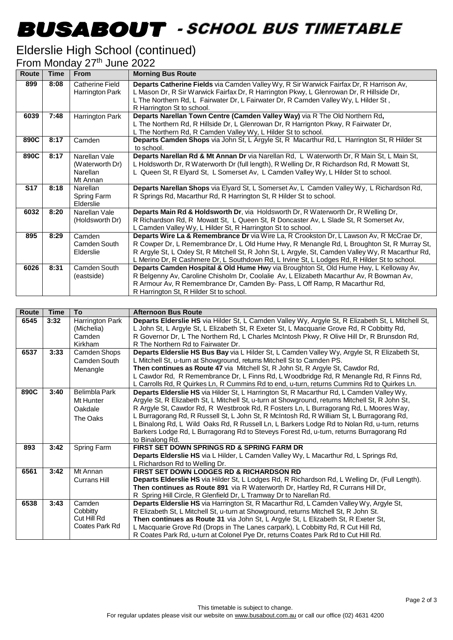# -

### Elderslie High School (continued)

From Monday 27<sup>th</sup> June 2022

| <b>Route</b> | <b>Time</b> | <b>From</b>                                                     | <b>Morning Bus Route</b>                                                                                                                                                                                                                                                                                                                                                                    |
|--------------|-------------|-----------------------------------------------------------------|---------------------------------------------------------------------------------------------------------------------------------------------------------------------------------------------------------------------------------------------------------------------------------------------------------------------------------------------------------------------------------------------|
| 899          | 8:08        | Catherine Field<br>Harrington Park                              | Departs Catherine Fields via Camden Valley Wy, R Sir Warwick Fairfax Dr, R Harrison Av,<br>L Mason Dr, R Sir Warwick Fairfax Dr, R Harrington Pkwy, L Glenrowan Dr, R Hillside Dr,<br>L The Northern Rd, L Fairwater Dr, L Fairwater Dr, R Camden Valley Wy, L Hilder St,<br>R Harrington St to school.                                                                                     |
| 6039         | 7:48        | Harrington Park                                                 | Departs Narellan Town Centre (Camden Valley Way) via R The Old Northern Rd,<br>L The Northern Rd, R Hillside Dr, L Glenrowan Dr, R Harrignton Pkwy, R Fairwater Dr,<br>L The Northern Rd, R Camden Valley Wy, L Hilder St to school.                                                                                                                                                        |
| 890C         | 8:17        | Camden                                                          | Departs Camden Shops via John St, L Argyle St, R Macarthur Rd, L Harrington St, R Hilder St<br>to school.                                                                                                                                                                                                                                                                                   |
| 890C         | 8:17        | Narellan Vale<br>(Waterworth Dr)<br><b>Narellan</b><br>Mt Annan | Departs Narellan Rd & Mt Annan Dr via Narellan Rd, L Waterworth Dr, R Main St, L Main St,<br>L Holdsworth Dr, R Waterworth Dr (full length), R Welling Dr, R Richardson Rd, R Mowatt St,<br>L Queen St, R Elyard St, L Somerset Av, L Camden Valley Wy, L Hilder St to school.                                                                                                              |
| <b>S17</b>   | 8:18        | Narellan<br>Spring Farm<br>Elderslie                            | Departs Narellan Shops via Elyard St, L Somerset Av, L Camden Valley Wy, L Richardson Rd,<br>R Springs Rd, Macarthur Rd, R Harrington St, R Hilder St to school.                                                                                                                                                                                                                            |
| 6032         | 8:20        | Narellan Vale<br>(Holdsworth Dr)                                | Departs Main Rd & Holdsworth Dr, via Holdsworth Dr, R Waterworth Dr, R Welling Dr,<br>R Richardson Rd, R Mowatt St, L Queen St, R Doncaster Av, L Slade St, R Somerset Av,<br>L Camden Valley Wy, L Hilder St, R Harrington St to school.                                                                                                                                                   |
| 895          | 8:29        | Camden<br>Camden South<br>Elderslie                             | Departs Wire La & Remembrance Dr via Wire La, R Crookston Dr, L Lawson Av, R McCrae Dr,<br>R Cowper Dr, L Remembrance Dr, L Old Hume Hwy, R Menangle Rd, L Broughton St, R Murray St,<br>R Argyle St, L Oxley St, R Mitchell St, R John St, L Argyle, St, Camden Valley Wy, R Macarthur Rd,<br>L Merino Dr, R Cashmere Dr, L Southdown Rd, L Irvine St, L Lodges Rd, R Hilder St to school. |
| 6026         | 8:31        | Camden South<br>(eastside)                                      | Departs Camden Hospital & Old Hume Hwy via Broughton St, Old Hume Hwy, L Kelloway Av,<br>R Belgenny Av, Caroline Chisholm Dr, Coolalie Av, L Elizabeth Macarthur Av, R Bowman Av,<br>R Armour Av, R Remembrance Dr, Camden By- Pass, L Off Ramp, R Macarthur Rd,<br>R Harrington St, R Hilder St to school.                                                                                 |

| <b>Route</b> | <b>Time</b> | To                                                        | <b>Afternoon Bus Route</b>                                                                                                                                                                                                                                                                                                                                                                                                                                                                                                                                                                      |
|--------------|-------------|-----------------------------------------------------------|-------------------------------------------------------------------------------------------------------------------------------------------------------------------------------------------------------------------------------------------------------------------------------------------------------------------------------------------------------------------------------------------------------------------------------------------------------------------------------------------------------------------------------------------------------------------------------------------------|
| 6545         | 3:32        | Harrington Park<br>(Michelia)<br>Camden<br><b>Kirkham</b> | Departs Elderslie HS via Hilder St, L Camden Valley Wy, Argyle St, R Elizabeth St, L Mitchell St,<br>L John St, L Argyle St, L Elizabeth St, R Exeter St, L Macquarie Grove Rd, R Cobbitty Rd,<br>R Governor Dr, L The Northern Rd, L Charles McIntosh Pkwy, R Olive Hill Dr, R Brunsdon Rd,<br>R The Northern Rd to Fairwater Dr.                                                                                                                                                                                                                                                              |
| 6537         | 3:33        | Camden Shops<br>Camden South<br>Menangle                  | Departs Elderslie HS Bus Bay via L Hilder St, L Camden Valley Wy, Argyle St, R Elizabeth St,<br>L Mitchell St, u-turn at Showground, returns Mitchell St to Camden PS.<br>Then continues as Route 47 via Mitchell St, R John St, R Argyle St, Cawdor Rd,<br>L Cawdor Rd, R Remembrance Dr, L Finns Rd, L Woodbridge Rd, R Menangle Rd, R Finns Rd,<br>L Carrolls Rd, R Quirkes Ln, R Cummins Rd to end, u-turn, returns Cummins Rd to Quirkes Ln.                                                                                                                                               |
| 890C         | 3:40        | Belimbla Park<br>Mt Hunter<br>Oakdale<br>The Oaks         | Departs Elderslie HS via Hilder St, L Harrington St, R Macarthur Rd, L Camden Valley Wy,<br>Argyle St, R Elizabeth St, L Mitchell St, u-turn at Showground, returns Mitchell St, R John St,<br>R Argyle St, Cawdor Rd, R Westbrook Rd, R Fosters Ln, L Burragorang Rd, L Moores Way,<br>L Burragorang Rd, R Russell St, L John St, R McIntosh Rd, R William St, L Burragorang Rd,<br>L Binalong Rd, L Wild Oaks Rd, R Russell Ln, L Barkers Lodge Rd to Nolan Rd, u-turn, returns<br>Barkers Lodge Rd, L Burragorang Rd to Steveys Forest Rd, u-turn, returns Burragorang Rd<br>to Binalong Rd. |
| 893          | 3:42        | Spring Farm                                               | <b>FIRST SET DOWN SPRINGS RD &amp; SPRING FARM DR</b><br>Departs Elderslie HS via L Hilder, L Camden Valley Wy, L Macarthur Rd, L Springs Rd,<br>L Richardson Rd to Welling Dr.                                                                                                                                                                                                                                                                                                                                                                                                                 |
| 6561         | 3:42        | Mt Annan<br>Currans Hill                                  | <b>FIRST SET DOWN LODGES RD &amp; RICHARDSON RD</b><br>Departs Elderslie HS via Hilder St, L Lodges Rd, R Richardson Rd, L Welling Dr, (Full Length).<br>Then continues as Route 891 via R Waterworth Dr, Hartley Rd, R Currans Hill Dr,<br>R Spring Hill Circle, R Glenfield Dr, L Tramway Dr to Narellan Rd.                                                                                                                                                                                                                                                                                  |
| 6538         | 3:43        | Camden<br>Cobbitty<br>Cut Hill Rd<br>Coates Park Rd       | Departs Elderslie HS via Harrington St, R Macarthur Rd, L Camden Valley Wy, Argyle St,<br>R Elizabeth St, L Mitchell St, u-turn at Showground, returns Mitchell St, R John St.<br>Then continues as Route 31 via John St, L Argyle St, L Elizabeth St, R Exeter St,<br>L Macquarie Grove Rd (Drops in The Lanes carpark), L Cobbitty Rd, R Cut Hill Rd,<br>R Coates Park Rd, u-turn at Colonel Pye Dr, returns Coates Park Rd to Cut Hill Rd.                                                                                                                                                   |